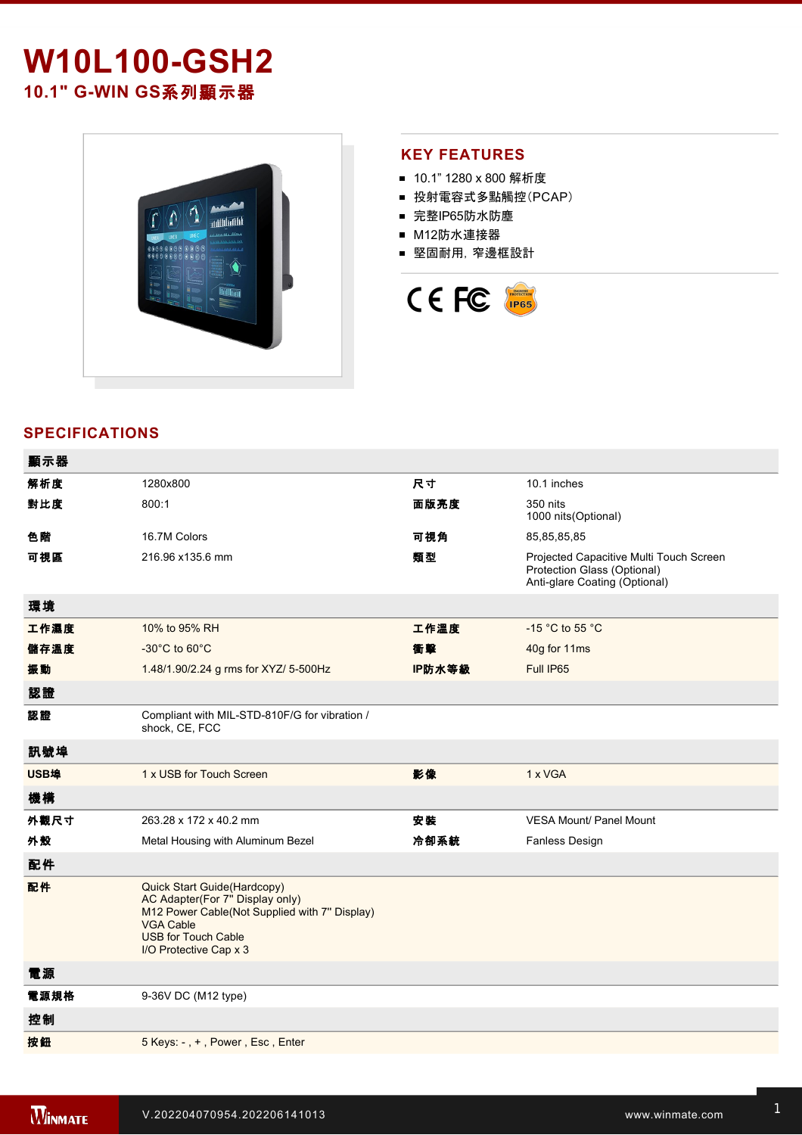## **W10L100-GSH2** 10.1" G-WIN GS系列顯示器



## **KEY FEATURES**

- 10.1" 1280 x 800 解析度
- 投射電容式多點觸控(PCAP)
- 完整IP65防水防塵
- M12防水連接器
- 堅固耐用,窄邊框設計



## **SPECIFICATIONS**

| 顯示器  |                                                                                                                                                                                             |        |                                                                                                         |
|------|---------------------------------------------------------------------------------------------------------------------------------------------------------------------------------------------|--------|---------------------------------------------------------------------------------------------------------|
| 解析度  | 1280x800                                                                                                                                                                                    | 尺寸     | 10.1 inches                                                                                             |
| 對比度  | 800:1                                                                                                                                                                                       | 面版亮度   | 350 nits<br>1000 nits(Optional)                                                                         |
| 色階   | 16.7M Colors                                                                                                                                                                                | 可視角    | 85,85,85,85                                                                                             |
| 可視區  | 216.96 x135.6 mm                                                                                                                                                                            | 類型     | Projected Capacitive Multi Touch Screen<br>Protection Glass (Optional)<br>Anti-glare Coating (Optional) |
| 環境   |                                                                                                                                                                                             |        |                                                                                                         |
| 工作濕度 | 10% to 95% RH                                                                                                                                                                               | 工作溫度   | -15 °C to 55 °C                                                                                         |
| 儲存溫度 | $-30^{\circ}$ C to 60 $^{\circ}$ C                                                                                                                                                          | 衝擊     | 40g for 11ms                                                                                            |
| 振動   | 1.48/1.90/2.24 g rms for XYZ/ 5-500Hz                                                                                                                                                       | IP防水等級 | Full IP65                                                                                               |
| 認證   |                                                                                                                                                                                             |        |                                                                                                         |
| 認證   | Compliant with MIL-STD-810F/G for vibration /<br>shock, CE, FCC                                                                                                                             |        |                                                                                                         |
| 訊號埠  |                                                                                                                                                                                             |        |                                                                                                         |
| USB埠 | 1 x USB for Touch Screen                                                                                                                                                                    | 影像     | 1 x VGA                                                                                                 |
| 機構   |                                                                                                                                                                                             |        |                                                                                                         |
| 外觀尺寸 | 263.28 x 172 x 40.2 mm                                                                                                                                                                      | 安装     | <b>VESA Mount/ Panel Mount</b>                                                                          |
| 外殼   | Metal Housing with Aluminum Bezel                                                                                                                                                           | 冷卻系統   | <b>Fanless Design</b>                                                                                   |
| 配件   |                                                                                                                                                                                             |        |                                                                                                         |
| 配件   | Quick Start Guide(Hardcopy)<br>AC Adapter(For 7" Display only)<br>M12 Power Cable(Not Supplied with 7" Display)<br><b>VGA Cable</b><br><b>USB for Touch Cable</b><br>I/O Protective Cap x 3 |        |                                                                                                         |
| 電源   |                                                                                                                                                                                             |        |                                                                                                         |
| 電源規格 | 9-36V DC (M12 type)                                                                                                                                                                         |        |                                                                                                         |
| 控制   |                                                                                                                                                                                             |        |                                                                                                         |
| 按鈕   | 5 Keys: -, +, Power, Esc, Enter                                                                                                                                                             |        |                                                                                                         |
|      |                                                                                                                                                                                             |        |                                                                                                         |

**DIMENSIONS**  UNIT:MM